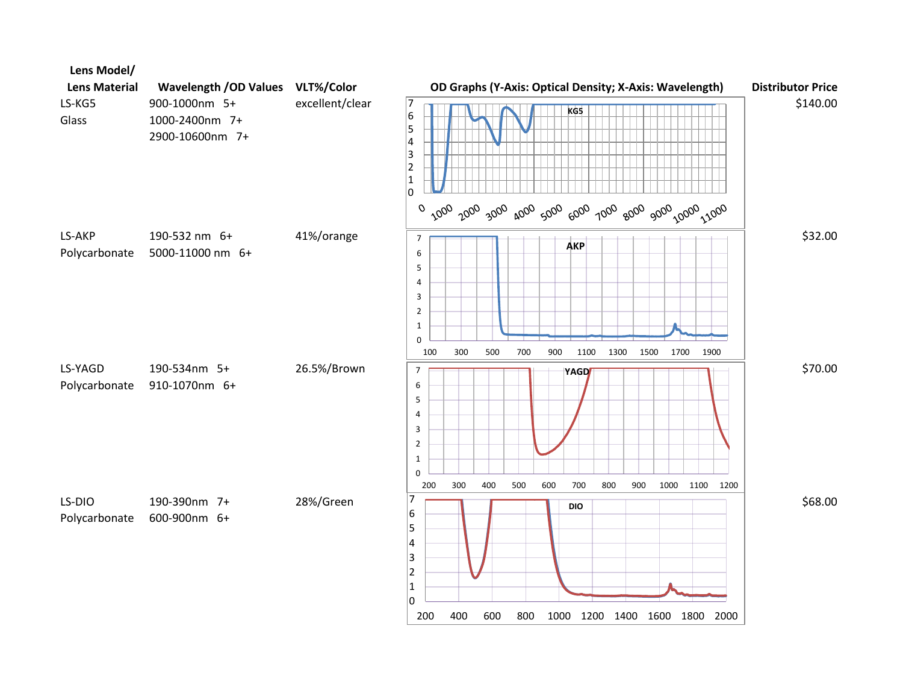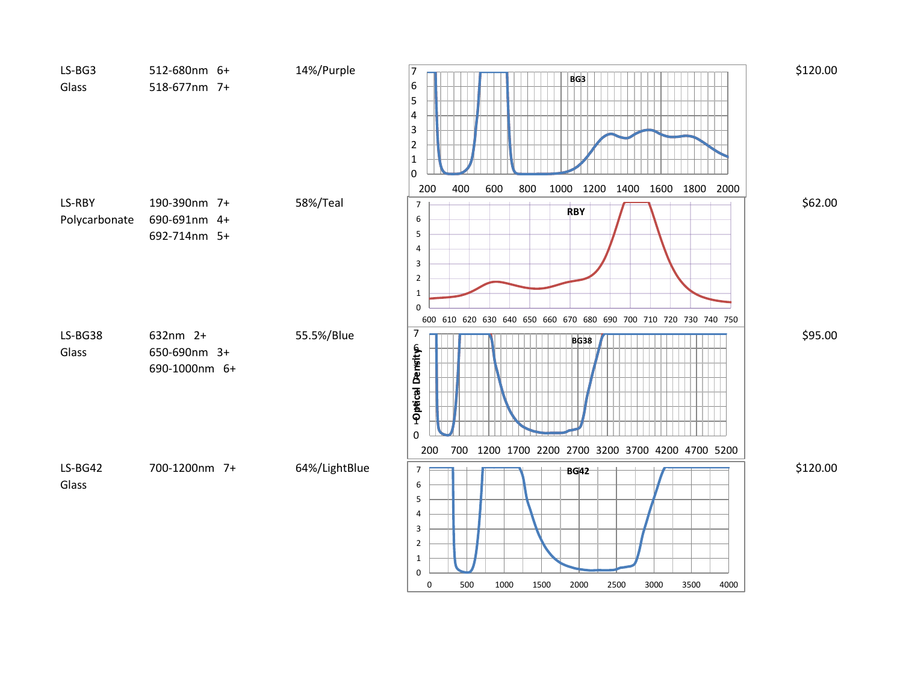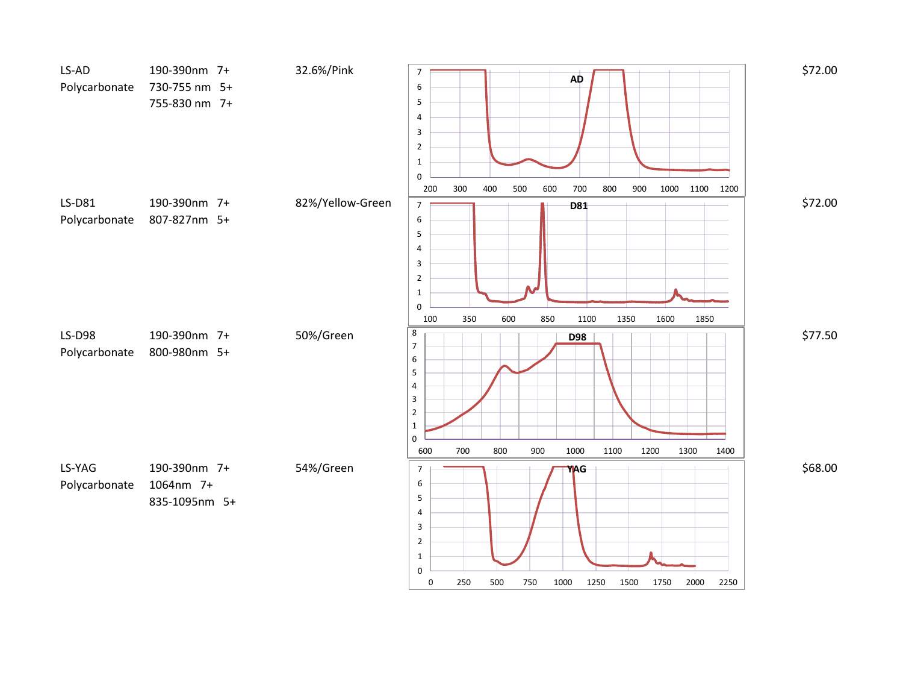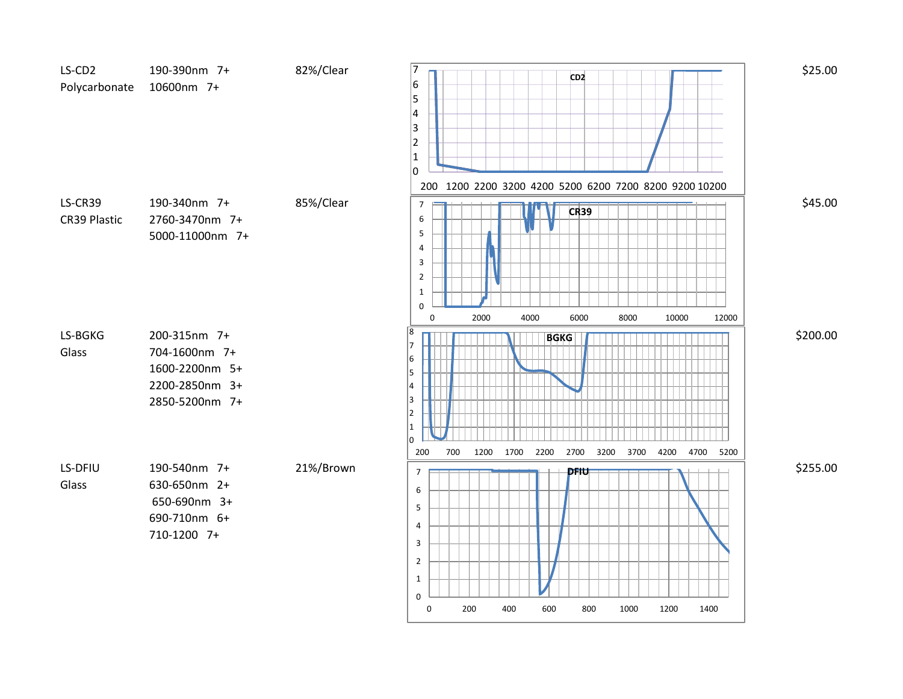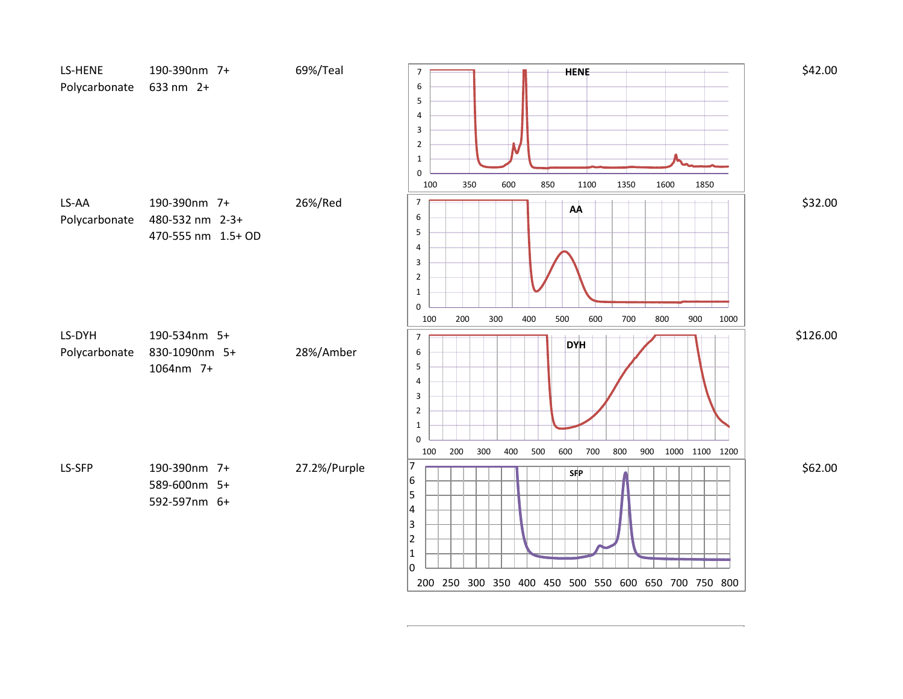